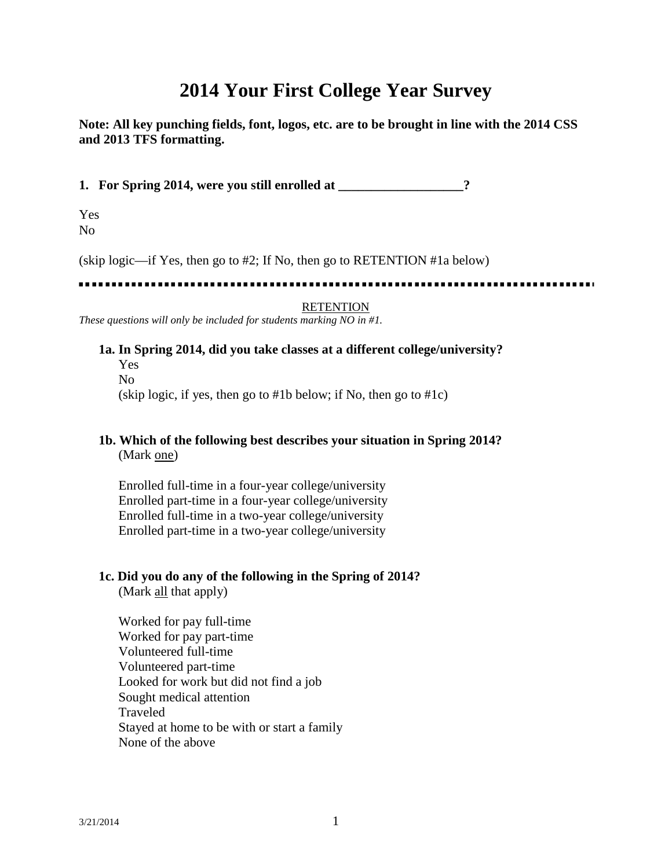# **2014 Your First College Year Survey**

**Note: All key punching fields, font, logos, etc. are to be brought in line with the 2014 CSS and 2013 TFS formatting.**

**1. For Spring 2014, were you still enrolled at \_\_\_\_\_\_\_\_\_\_\_\_\_\_\_\_\_\_\_?**

Yes No

(skip logic—if Yes, then go to #2; If No, then go to RETENTION #1a below)

. . . . . . . . . . .

#### **RETENTION**

*These questions will only be included for students marking NO in #1.*

# **1a. In Spring 2014, did you take classes at a different college/university?**

Yes No (skip logic, if yes, then go to #1b below; if No, then go to #1c)

### **1b. Which of the following best describes your situation in Spring 2014?** (Mark one)

Enrolled full-time in a four-year college/university Enrolled part-time in a four-year college/university Enrolled full-time in a two-year college/university Enrolled part-time in a two-year college/university

#### **1c. Did you do any of the following in the Spring of 2014?**

(Mark all that apply)

Worked for pay full-time Worked for pay part-time Volunteered full-time Volunteered part-time Looked for work but did not find a job Sought medical attention Traveled Stayed at home to be with or start a family None of the above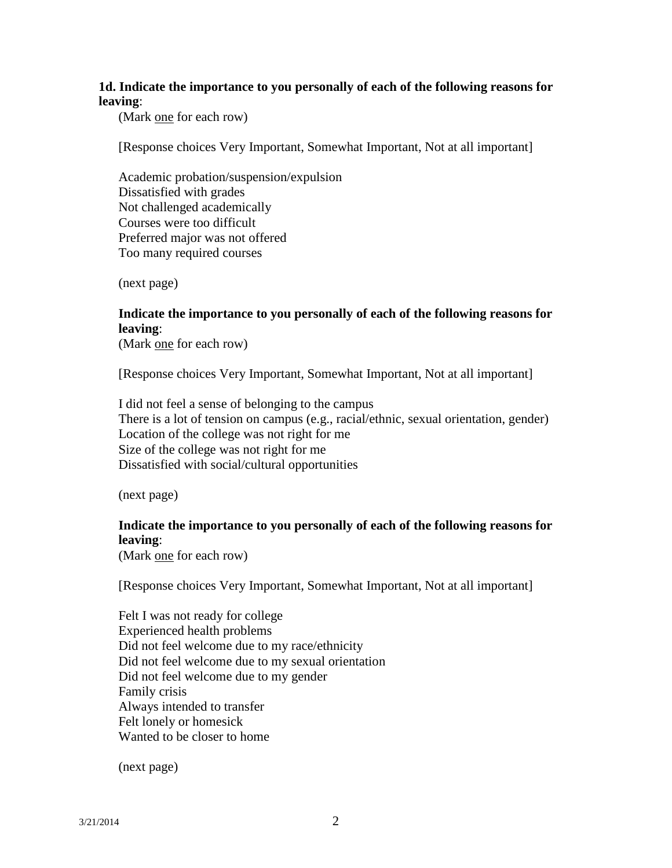## **1d. Indicate the importance to you personally of each of the following reasons for leaving**:

(Mark one for each row)

[Response choices Very Important, Somewhat Important, Not at all important]

Academic probation/suspension/expulsion Dissatisfied with grades Not challenged academically Courses were too difficult Preferred major was not offered Too many required courses

(next page)

# **Indicate the importance to you personally of each of the following reasons for leaving**:

(Mark one for each row)

[Response choices Very Important, Somewhat Important, Not at all important]

I did not feel a sense of belonging to the campus There is a lot of tension on campus (e.g., racial/ethnic, sexual orientation, gender) Location of the college was not right for me Size of the college was not right for me Dissatisfied with social/cultural opportunities

(next page)

### **Indicate the importance to you personally of each of the following reasons for leaving**:

(Mark one for each row)

[Response choices Very Important, Somewhat Important, Not at all important]

Felt I was not ready for college Experienced health problems Did not feel welcome due to my race/ethnicity Did not feel welcome due to my sexual orientation Did not feel welcome due to my gender Family crisis Always intended to transfer Felt lonely or homesick Wanted to be closer to home

(next page)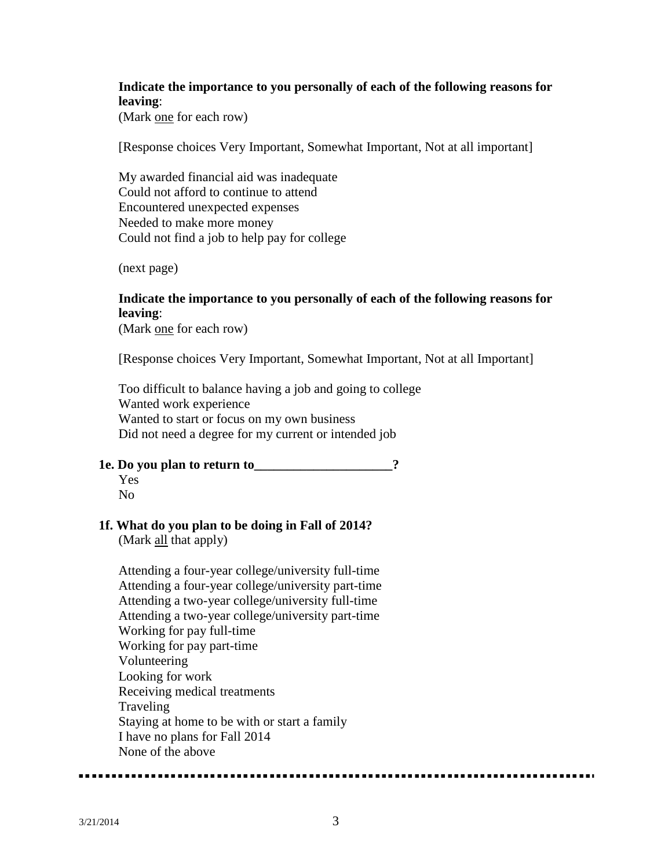# **Indicate the importance to you personally of each of the following reasons for leaving**:

(Mark one for each row)

[Response choices Very Important, Somewhat Important, Not at all important]

My awarded financial aid was inadequate Could not afford to continue to attend Encountered unexpected expenses Needed to make more money Could not find a job to help pay for college

(next page)

## **Indicate the importance to you personally of each of the following reasons for leaving**:

(Mark one for each row)

[Response choices Very Important, Somewhat Important, Not at all Important]

Too difficult to balance having a job and going to college Wanted work experience Wanted to start or focus on my own business Did not need a degree for my current or intended job

#### **1e. Do you plan to return to\_\_\_\_\_\_\_\_\_\_\_\_\_\_\_\_\_\_\_\_\_?**

Yes No

# **1f. What do you plan to be doing in Fall of 2014?**

(Mark all that apply)

Attending a four-year college/university full-time Attending a four-year college/university part-time Attending a two-year college/university full-time Attending a two-year college/university part-time Working for pay full-time Working for pay part-time Volunteering Looking for work Receiving medical treatments Traveling Staying at home to be with or start a family I have no plans for Fall 2014 None of the above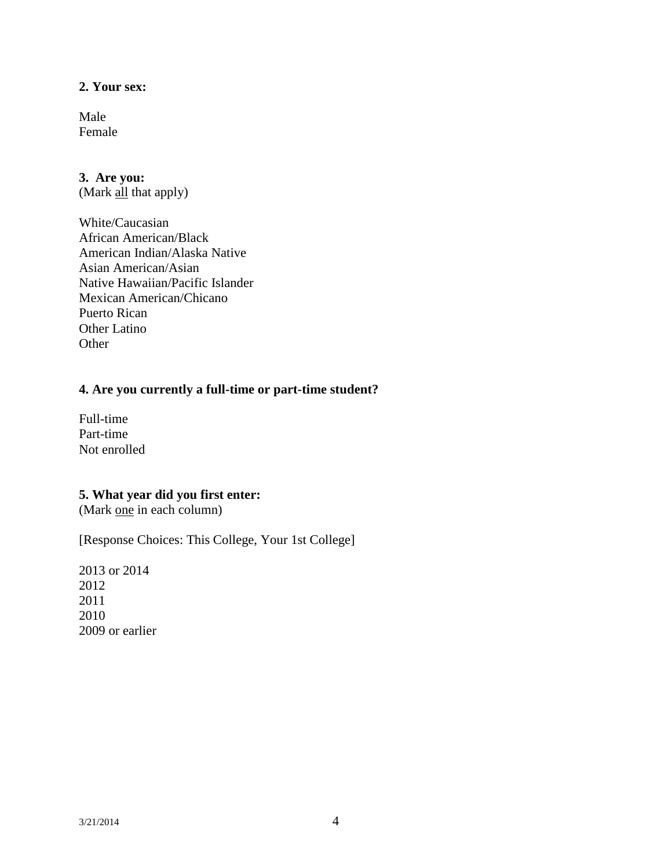# **2. Your sex:**

Male Female

### **3. Are you:**

(Mark all that apply)

White/Caucasian African American/Black American Indian/Alaska Native Asian American/Asian Native Hawaiian/Pacific Islander Mexican American/Chicano Puerto Rican Other Latino **Other** 

## **4. Are you currently a full-time or part-time student?**

Full-time Part-time Not enrolled

# **5. What year did you first enter:**

(Mark one in each column)

[Response Choices: This College, Your 1st College]

2013 or 2014 2012 2011 2010 2009 or earlier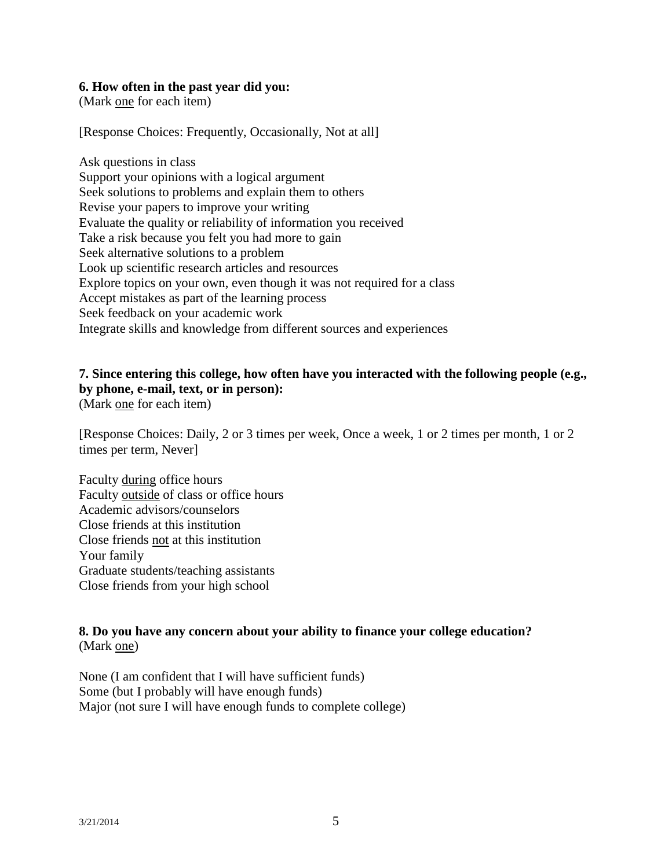#### **6. How often in the past year did you:**

(Mark one for each item)

[Response Choices: Frequently, Occasionally, Not at all]

Ask questions in class Support your opinions with a logical argument Seek solutions to problems and explain them to others Revise your papers to improve your writing Evaluate the quality or reliability of information you received Take a risk because you felt you had more to gain Seek alternative solutions to a problem Look up scientific research articles and resources Explore topics on your own, even though it was not required for a class Accept mistakes as part of the learning process Seek feedback on your academic work Integrate skills and knowledge from different sources and experiences

# **7. Since entering this college, how often have you interacted with the following people (e.g., by phone, e-mail, text, or in person):**

(Mark one for each item)

[Response Choices: Daily, 2 or 3 times per week, Once a week, 1 or 2 times per month, 1 or 2 times per term, Never]

Faculty during office hours Faculty outside of class or office hours Academic advisors/counselors Close friends at this institution Close friends not at this institution Your family Graduate students/teaching assistants Close friends from your high school

### **8. Do you have any concern about your ability to finance your college education?**  (Mark one)

None (I am confident that I will have sufficient funds) Some (but I probably will have enough funds) Major (not sure I will have enough funds to complete college)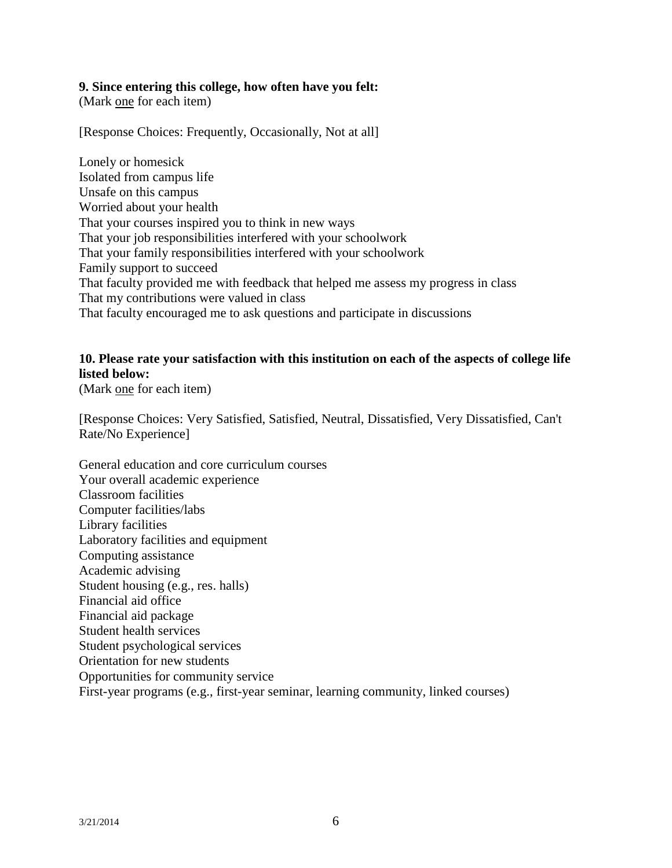#### **9. Since entering this college, how often have you felt:**

(Mark one for each item)

[Response Choices: Frequently, Occasionally, Not at all]

Lonely or homesick Isolated from campus life Unsafe on this campus Worried about your health That your courses inspired you to think in new ways That your job responsibilities interfered with your schoolwork That your family responsibilities interfered with your schoolwork Family support to succeed That faculty provided me with feedback that helped me assess my progress in class That my contributions were valued in class That faculty encouraged me to ask questions and participate in discussions

# **10. Please rate your satisfaction with this institution on each of the aspects of college life listed below:**

(Mark one for each item)

[Response Choices: Very Satisfied, Satisfied, Neutral, Dissatisfied, Very Dissatisfied, Can't Rate/No Experience]

General education and core curriculum courses Your overall academic experience Classroom facilities Computer facilities/labs Library facilities Laboratory facilities and equipment Computing assistance Academic advising Student housing (e.g., res. halls) Financial aid office Financial aid package Student health services Student psychological services Orientation for new students Opportunities for community service First-year programs (e.g., first-year seminar, learning community, linked courses)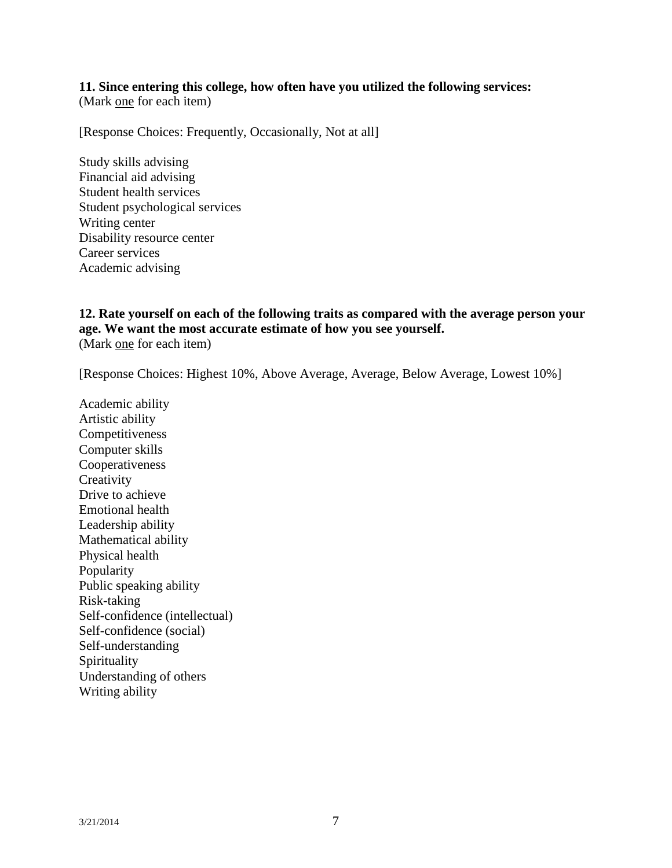# **11. Since entering this college, how often have you utilized the following services:**

(Mark one for each item)

[Response Choices: Frequently, Occasionally, Not at all]

Study skills advising Financial aid advising Student health services Student psychological services Writing center Disability resource center Career services Academic advising

## **12. Rate yourself on each of the following traits as compared with the average person your age. We want the most accurate estimate of how you see yourself.**  (Mark one for each item)

[Response Choices: Highest 10%, Above Average, Average, Below Average, Lowest 10%]

Academic ability Artistic ability Competitiveness Computer skills Cooperativeness **Creativity** Drive to achieve Emotional health Leadership ability Mathematical ability Physical health Popularity Public speaking ability Risk-taking Self-confidence (intellectual) Self-confidence (social) Self-understanding Spirituality Understanding of others Writing ability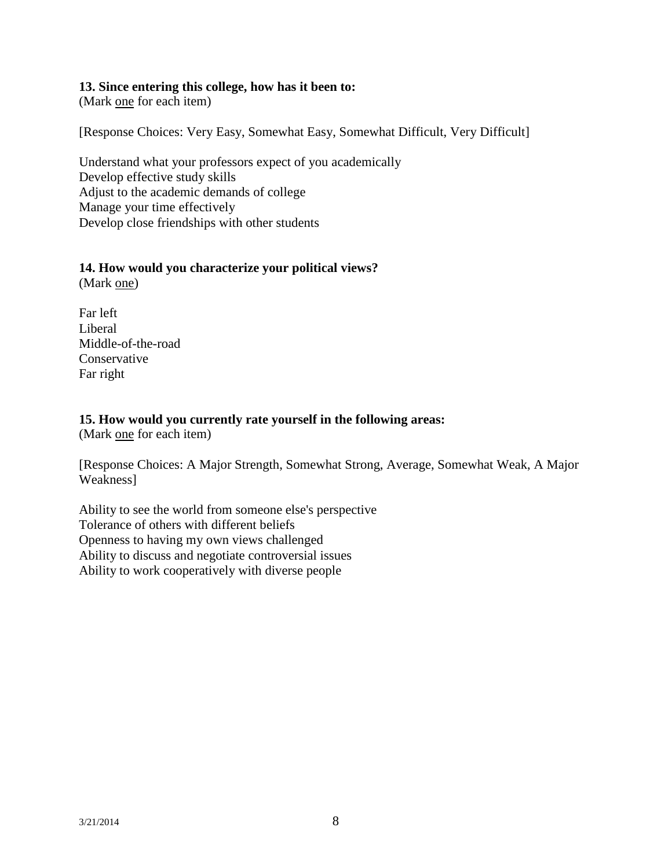#### **13. Since entering this college, how has it been to:**

(Mark one for each item)

[Response Choices: Very Easy, Somewhat Easy, Somewhat Difficult, Very Difficult]

Understand what your professors expect of you academically Develop effective study skills Adjust to the academic demands of college Manage your time effectively Develop close friendships with other students

# **14. How would you characterize your political views?**

(Mark one)

Far left Liberal Middle-of-the-road **Conservative** Far right

### **15. How would you currently rate yourself in the following areas:**

(Mark one for each item)

[Response Choices: A Major Strength, Somewhat Strong, Average, Somewhat Weak, A Major Weakness]

Ability to see the world from someone else's perspective Tolerance of others with different beliefs Openness to having my own views challenged Ability to discuss and negotiate controversial issues Ability to work cooperatively with diverse people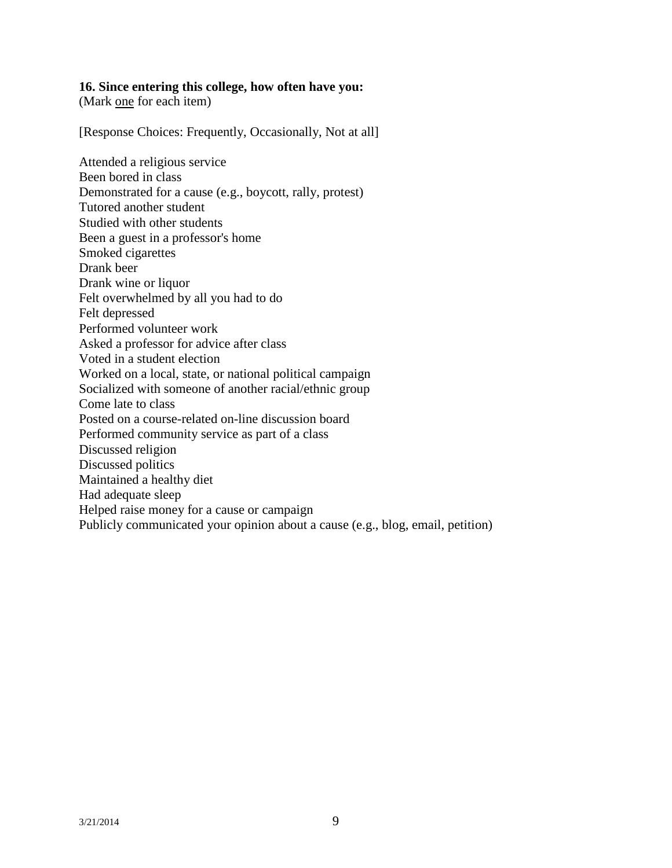#### **16. Since entering this college, how often have you:**

(Mark one for each item)

[Response Choices: Frequently, Occasionally, Not at all]

Attended a religious service Been bored in class Demonstrated for a cause (e.g., boycott, rally, protest) Tutored another student Studied with other students Been a guest in a professor's home Smoked cigarettes Drank beer Drank wine or liquor Felt overwhelmed by all you had to do Felt depressed Performed volunteer work Asked a professor for advice after class Voted in a student election Worked on a local, state, or national political campaign Socialized with someone of another racial/ethnic group Come late to class Posted on a course-related on-line discussion board Performed community service as part of a class Discussed religion Discussed politics Maintained a healthy diet Had adequate sleep Helped raise money for a cause or campaign Publicly communicated your opinion about a cause (e.g., blog, email, petition)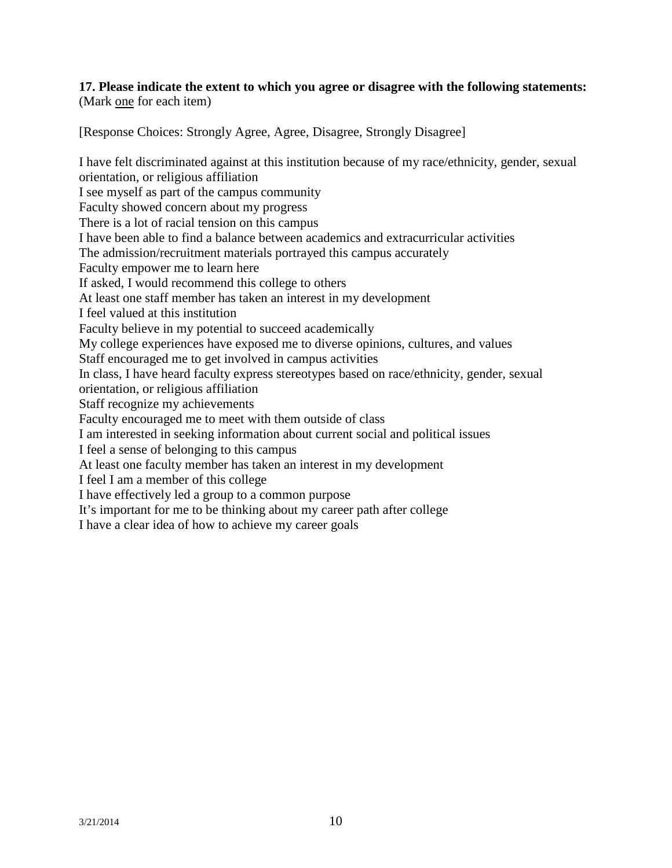#### **17. Please indicate the extent to which you agree or disagree with the following statements:**  (Mark one for each item)

[Response Choices: Strongly Agree, Agree, Disagree, Strongly Disagree]

I have felt discriminated against at this institution because of my race/ethnicity, gender, sexual orientation, or religious affiliation I see myself as part of the campus community Faculty showed concern about my progress There is a lot of racial tension on this campus I have been able to find a balance between academics and extracurricular activities The admission/recruitment materials portrayed this campus accurately Faculty empower me to learn here If asked, I would recommend this college to others At least one staff member has taken an interest in my development I feel valued at this institution Faculty believe in my potential to succeed academically My college experiences have exposed me to diverse opinions, cultures, and values Staff encouraged me to get involved in campus activities In class, I have heard faculty express stereotypes based on race/ethnicity, gender, sexual orientation, or religious affiliation Staff recognize my achievements Faculty encouraged me to meet with them outside of class I am interested in seeking information about current social and political issues I feel a sense of belonging to this campus At least one faculty member has taken an interest in my development I feel I am a member of this college I have effectively led a group to a common purpose It's important for me to be thinking about my career path after college I have a clear idea of how to achieve my career goals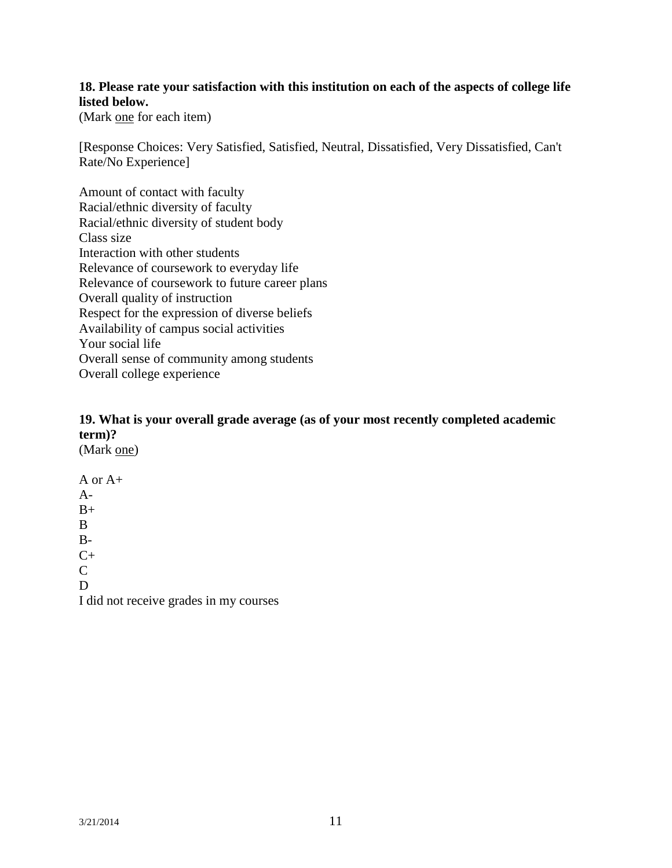# **18. Please rate your satisfaction with this institution on each of the aspects of college life listed below.**

(Mark one for each item)

[Response Choices: Very Satisfied, Satisfied, Neutral, Dissatisfied, Very Dissatisfied, Can't Rate/No Experience]

Amount of contact with faculty Racial/ethnic diversity of faculty Racial/ethnic diversity of student body Class size Interaction with other students Relevance of coursework to everyday life Relevance of coursework to future career plans Overall quality of instruction Respect for the expression of diverse beliefs Availability of campus social activities Your social life Overall sense of community among students Overall college experience

# **19. What is your overall grade average (as of your most recently completed academic term)?**

(Mark one)

A or A+  $A B+$ B  $B C+$  $\mathcal{C}$ D I did not receive grades in my courses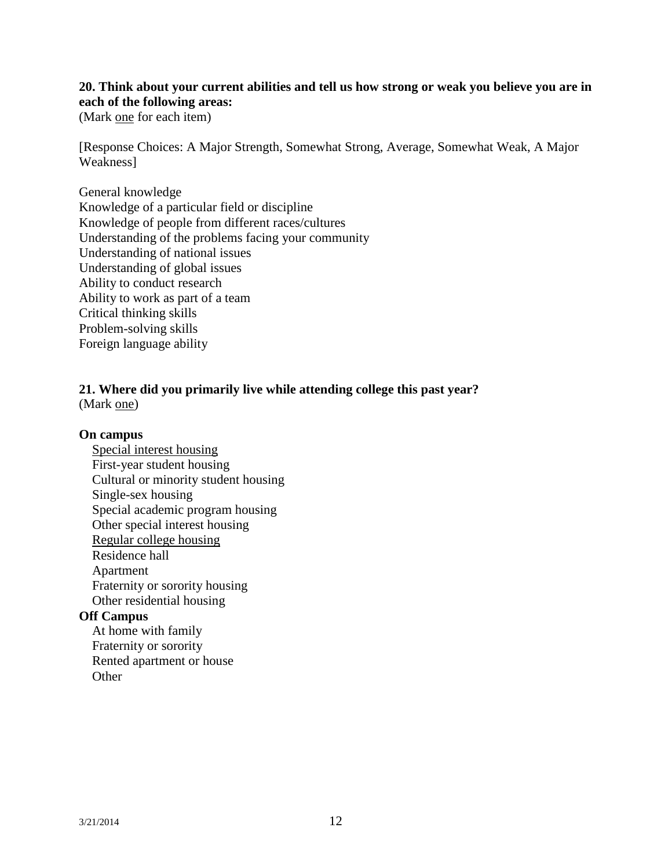# **20. Think about your current abilities and tell us how strong or weak you believe you are in each of the following areas:**

(Mark one for each item)

[Response Choices: A Major Strength, Somewhat Strong, Average, Somewhat Weak, A Major Weakness]

## General knowledge Knowledge of a particular field or discipline Knowledge of people from different races/cultures Understanding of the problems facing your community Understanding of national issues Understanding of global issues Ability to conduct research Ability to work as part of a team Critical thinking skills Problem-solving skills Foreign language ability

#### **21. Where did you primarily live while attending college this past year?**  (Mark one)

### **On campus**

Special interest housing First-year student housing Cultural or minority student housing Single-sex housing Special academic program housing Other special interest housing Regular college housing Residence hall Apartment Fraternity or sorority housing Other residential housing

#### **Off Campus**

At home with family Fraternity or sorority Rented apartment or house **Other**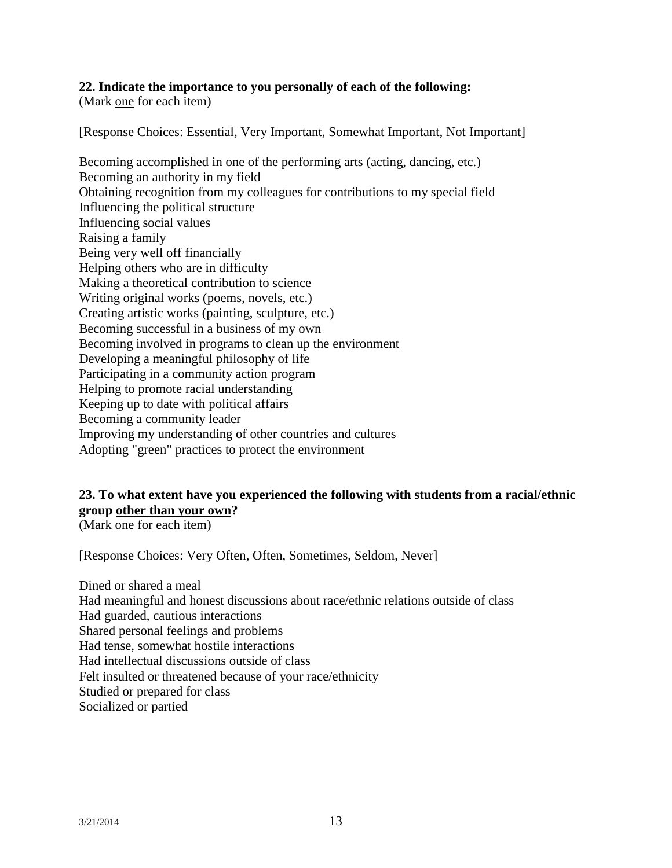## **22. Indicate the importance to you personally of each of the following:**

(Mark one for each item)

[Response Choices: Essential, Very Important, Somewhat Important, Not Important]

Becoming accomplished in one of the performing arts (acting, dancing, etc.) Becoming an authority in my field Obtaining recognition from my colleagues for contributions to my special field Influencing the political structure Influencing social values Raising a family Being very well off financially Helping others who are in difficulty Making a theoretical contribution to science Writing original works (poems, novels, etc.) Creating artistic works (painting, sculpture, etc.) Becoming successful in a business of my own Becoming involved in programs to clean up the environment Developing a meaningful philosophy of life Participating in a community action program Helping to promote racial understanding Keeping up to date with political affairs Becoming a community leader Improving my understanding of other countries and cultures Adopting "green" practices to protect the environment

# **23. To what extent have you experienced the following with students from a racial/ethnic group other than your own?**

(Mark one for each item)

[Response Choices: Very Often, Often, Sometimes, Seldom, Never]

Dined or shared a meal Had meaningful and honest discussions about race/ethnic relations outside of class Had guarded, cautious interactions Shared personal feelings and problems Had tense, somewhat hostile interactions Had intellectual discussions outside of class Felt insulted or threatened because of your race/ethnicity Studied or prepared for class Socialized or partied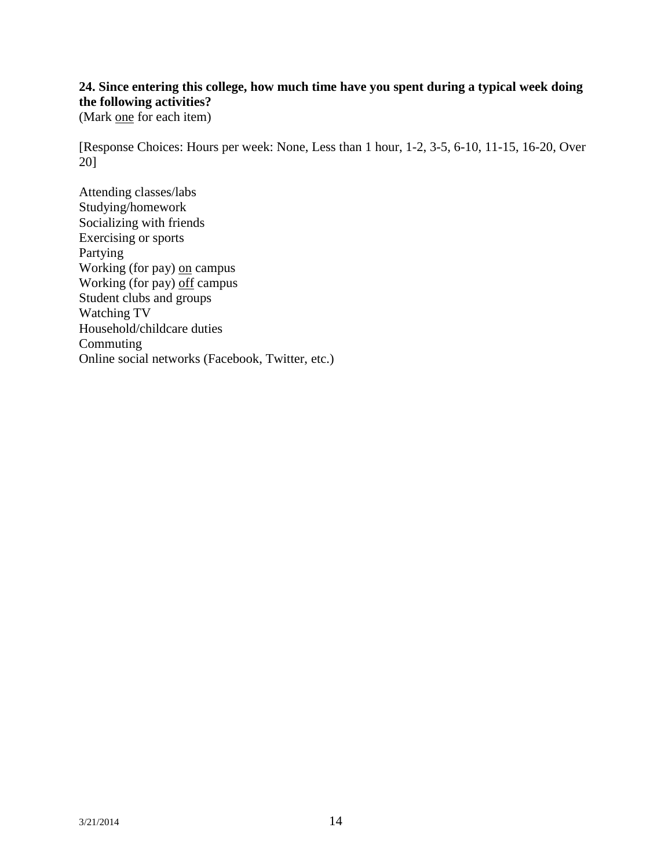# **24. Since entering this college, how much time have you spent during a typical week doing the following activities?**

(Mark one for each item)

[Response Choices: Hours per week: None, Less than 1 hour, 1-2, 3-5, 6-10, 11-15, 16-20, Over 20]

Attending classes/labs Studying/homework Socializing with friends Exercising or sports Partying Working (for pay) on campus Working (for pay) off campus Student clubs and groups Watching TV Household/childcare duties **Commuting** Online social networks (Facebook, Twitter, etc.)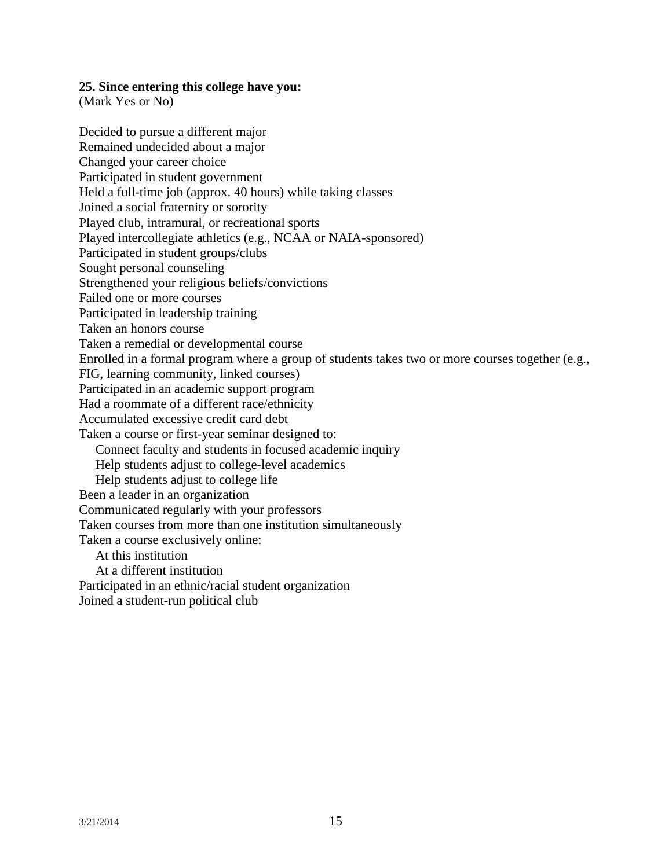#### **25. Since entering this college have you:**

(Mark Yes or No)

Decided to pursue a different major Remained undecided about a major Changed your career choice Participated in student government Held a full-time job (approx. 40 hours) while taking classes Joined a social fraternity or sorority Played club, intramural, or recreational sports Played intercollegiate athletics (e.g., NCAA or NAIA-sponsored) Participated in student groups/clubs Sought personal counseling Strengthened your religious beliefs/convictions Failed one or more courses Participated in leadership training Taken an honors course Taken a remedial or developmental course Enrolled in a formal program where a group of students takes two or more courses together (e.g., FIG, learning community, linked courses) Participated in an academic support program Had a roommate of a different race/ethnicity Accumulated excessive credit card debt Taken a course or first-year seminar designed to: Connect faculty and students in focused academic inquiry Help students adjust to college-level academics Help students adjust to college life Been a leader in an organization Communicated regularly with your professors Taken courses from more than one institution simultaneously Taken a course exclusively online: At this institution At a different institution Participated in an ethnic/racial student organization

Joined a student-run political club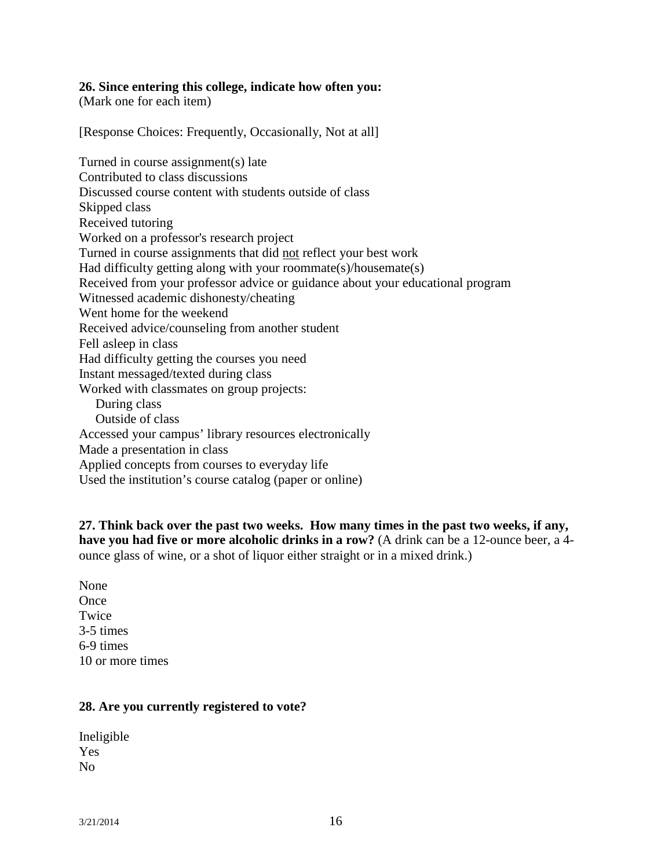#### **26. Since entering this college, indicate how often you:**

(Mark one for each item)

[Response Choices: Frequently, Occasionally, Not at all]

Turned in course assignment(s) late Contributed to class discussions Discussed course content with students outside of class Skipped class Received tutoring Worked on a professor's research project Turned in course assignments that did not reflect your best work Had difficulty getting along with your roommate(s)/housemate(s) Received from your professor advice or guidance about your educational program Witnessed academic dishonesty/cheating Went home for the weekend Received advice/counseling from another student Fell asleep in class Had difficulty getting the courses you need Instant messaged/texted during class Worked with classmates on group projects: During class Outside of class Accessed your campus' library resources electronically Made a presentation in class Applied concepts from courses to everyday life Used the institution's course catalog (paper or online)

**27. Think back over the past two weeks. How many times in the past two weeks, if any, have you had five or more alcoholic drinks in a row?** (A drink can be a 12-ounce beer, a 4 ounce glass of wine, or a shot of liquor either straight or in a mixed drink.)

None **Once Twice** 3-5 times 6-9 times 10 or more times

#### **28. Are you currently registered to vote?**

| Ineligible     |
|----------------|
| Yes            |
| N <sub>0</sub> |